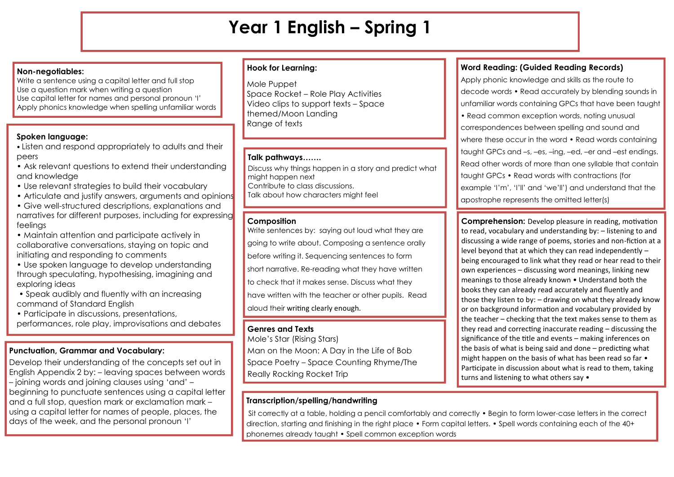# **Year 1 English – Spring 1**

### **Non-negotiables:**

Write a sentence using a capital letter and full stop Use a question mark when writing a question Use capital letter for names and personal pronoun 'I' Apply phonics knowledge when spelling unfamiliar words

# **Spoken language:**

• Listen and respond appropriately to adults and their peers

- Ask relevant questions to extend their understanding and knowledge
- Use relevant strategies to build their vocabulary
- Articulate and justify answers, arguments and opinions
- Give well-structured descriptions, explanations and narratives for different purposes, including for expressing feelings
- Maintain attention and participate actively in collaborative conversations, staying on topic and initiating and responding to comments
- Use spoken language to develop understanding through speculating, hypothesising, imagining and exploring ideas
- Speak audibly and fluently with an increasing command of Standard English
- Participate in discussions, presentations, performances, role play, improvisations and debates

# **Punctuation, Grammar and Vocabulary:**

Develop their understanding of the concepts set out in English Appendix 2 by: – leaving spaces between words – joining words and joining clauses using 'and' – beginning to punctuate sentences using a capital letter and a full stop, question mark or exclamation mark – using a capital letter for names of people, places, the days of the week, and the personal pronoun 'I'

## **Hook for Learning:**

Mole Puppet Space Rocket – Role Play Activities Video clips to support texts – Space themed/Moon Landing Range of texts

## **Talk pathways…….**

Discuss why things happen in a story and predict what might happen next Contribute to class discussions. Talk about how characters might feel

# **Composition**

Write sentences by: saying out loud what they are going to write about. Composing a sentence orally before writing it. Sequencing sentences to form short narrative. Re-reading what they have written to check that it makes sense. Discuss what they have written with the teacher or other pupils. Read aloud their writing clearly enough.

## **Genres and Texts**

Mole's Star (Rising Stars) Man on the Moon: A Day in the Life of Bob Space Poetry – Space Counting Rhyme/The Really Rocking Rocket Trip

# **Transcription/spelling/handwriting**

# **Word Reading: (Guided Reading Records)**

Apply phonic knowledge and skills as the route to decode words • Read accurately by blending sounds in unfamiliar words containing GPCs that have been taught • Read common exception words, noting unusual correspondences between spelling and sound and where these occur in the word • Read words containing taught GPCs and –s, –es, –ing, –ed, –er and –est endings. Read other words of more than one syllable that contain taught GPCs • Read words with contractions (for example 'I'm', 'I'll' and 'we'll') and understand that the apostrophe represents the omitted letter(s)

**Comprehension:** Develop pleasure in reading, motivation to read, vocabulary and understanding by: – listening to and discussing a wide range of poems, stories and non-fiction at a level beyond that at which they can read independently – being encouraged to link what they read or hear read to their own experiences – discussing word meanings, linking new meanings to those already known • Understand both the books they can already read accurately and fluently and those they listen to by: – drawing on what they already know or on background information and vocabulary provided by the teacher – checking that the text makes sense to them as they read and correcting inaccurate reading – discussing the significance of the title and events – making inferences on the basis of what is being said and done – predicting what might happen on the basis of what has been read so far • Participate in discussion about what is read to them, taking turns and listening to what others say •

Sit correctly at a table, holding a pencil comfortably and correctly • Begin to form lower-case letters in the correct direction, starting and finishing in the right place • Form capital letters. • Spell words containing each of the 40+ phonemes already taught • Spell common exception words